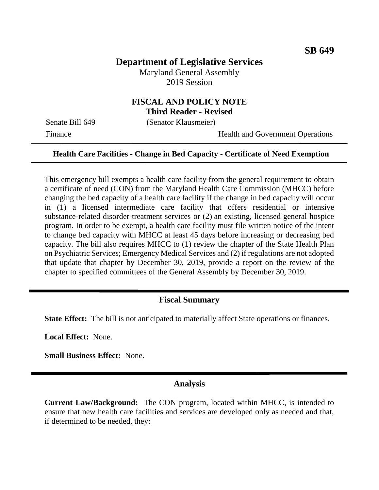# **Department of Legislative Services**

Maryland General Assembly 2019 Session

### **FISCAL AND POLICY NOTE Third Reader - Revised**

Senate Bill 649 (Senator Klausmeier)

Finance Health and Government Operations

#### **Health Care Facilities - Change in Bed Capacity - Certificate of Need Exemption**

This emergency bill exempts a health care facility from the general requirement to obtain a certificate of need (CON) from the Maryland Health Care Commission (MHCC) before changing the bed capacity of a health care facility if the change in bed capacity will occur in (1) a licensed intermediate care facility that offers residential or intensive substance-related disorder treatment services or (2) an existing, licensed general hospice program. In order to be exempt, a health care facility must file written notice of the intent to change bed capacity with MHCC at least 45 days before increasing or decreasing bed capacity. The bill also requires MHCC to (1) review the chapter of the State Health Plan on Psychiatric Services; Emergency Medical Services and (2) if regulations are not adopted that update that chapter by December 30, 2019, provide a report on the review of the chapter to specified committees of the General Assembly by December 30, 2019.

#### **Fiscal Summary**

**State Effect:** The bill is not anticipated to materially affect State operations or finances.

**Local Effect:** None.

**Small Business Effect:** None.

### **Analysis**

**Current Law/Background:** The CON program, located within MHCC, is intended to ensure that new health care facilities and services are developed only as needed and that, if determined to be needed, they: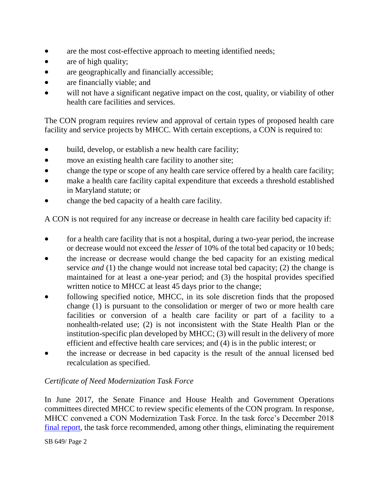- are the most cost-effective approach to meeting identified needs;
- are of high quality;
- are geographically and financially accessible;
- are financially viable; and
- will not have a significant negative impact on the cost, quality, or viability of other health care facilities and services.

The CON program requires review and approval of certain types of proposed health care facility and service projects by MHCC. With certain exceptions, a CON is required to:

- build, develop, or establish a new health care facility;
- move an existing health care facility to another site;
- change the type or scope of any health care service offered by a health care facility;
- make a health care facility capital expenditure that exceeds a threshold established in Maryland statute; or
- change the bed capacity of a health care facility.

A CON is not required for any increase or decrease in health care facility bed capacity if:

- for a health care facility that is not a hospital, during a two-year period, the increase or decrease would not exceed the *lesser* of 10% of the total bed capacity or 10 beds;
- the increase or decrease would change the bed capacity for an existing medical service *and* (1) the change would not increase total bed capacity; (2) the change is maintained for at least a one-year period; and (3) the hospital provides specified written notice to MHCC at least 45 days prior to the change;
- following specified notice, MHCC, in its sole discretion finds that the proposed change (1) is pursuant to the consolidation or merger of two or more health care facilities or conversion of a health care facility or part of a facility to a nonhealth-related use; (2) is not inconsistent with the State Health Plan or the institution-specific plan developed by MHCC; (3) will result in the delivery of more efficient and effective health care services; and (4) is in the public interest; or
- the increase or decrease in bed capacity is the result of the annual licensed bed recalculation as specified.

## *Certificate of Need Modernization Task Force*

In June 2017, the Senate Finance and House Health and Government Operations committees directed MHCC to review specific elements of the CON program. In response, MHCC convened a CON Modernization Task Force. In the task force's December 2018 [final report,](http://mhcc.maryland.gov/mhcc/pages/home/workgroups/documents/CON_modernization_workgroup/Final%20Report/con_modernization_workgroup_final_report_corrected_20181221.pdf) the task force recommended, among other things, eliminating the requirement